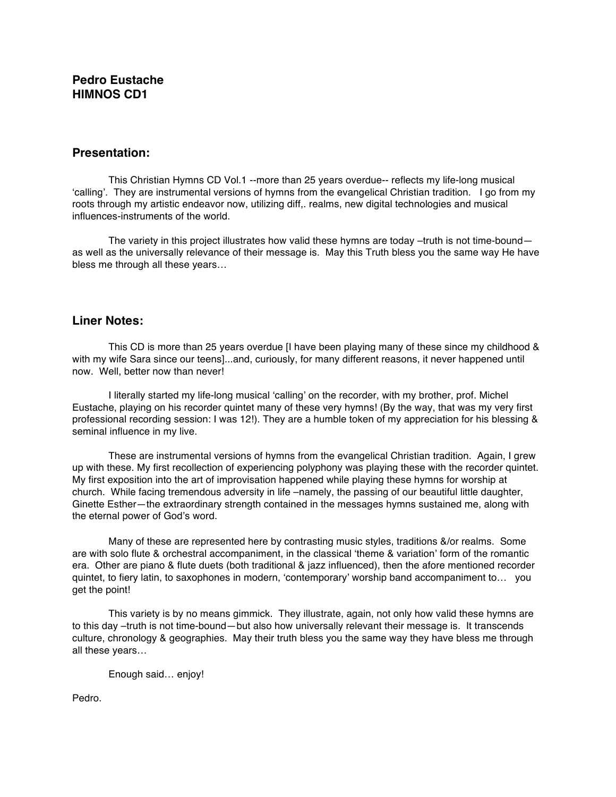# **Pedro Eustache HIMNOS CD1**

#### **Presentation:**

This Christian Hymns CD Vol.1 --more than 25 years overdue-- reflects my life-long musical 'calling'. They are instrumental versions of hymns from the evangelical Christian tradition. I go from my roots through my artistic endeavor now, utilizing diff,. realms, new digital technologies and musical influences-instruments of the world.

The variety in this project illustrates how valid these hymns are today –truth is not time-bound– as well as the universally relevance of their message is. May this Truth bless you the same way He have bless me through all these years…

#### **Liner Notes:**

This CD is more than 25 years overdue [I have been playing many of these since my childhood & with my wife Sara since our teens]...and, curiously, for many different reasons, it never happened until now. Well, better now than never!

I literally started my life-long musical 'calling' on the recorder, with my brother, prof. Michel Eustache, playing on his recorder quintet many of these very hymns! (By the way, that was my very first professional recording session: I was 12!). They are a humble token of my appreciation for his blessing & seminal influence in my live.

These are instrumental versions of hymns from the evangelical Christian tradition. Again, I grew up with these. My first recollection of experiencing polyphony was playing these with the recorder quintet. My first exposition into the art of improvisation happened while playing these hymns for worship at church. While facing tremendous adversity in life –namely, the passing of our beautiful little daughter, Ginette Esther—the extraordinary strength contained in the messages hymns sustained me, along with the eternal power of God's word.

Many of these are represented here by contrasting music styles, traditions &/or realms. Some are with solo flute & orchestral accompaniment, in the classical 'theme & variation' form of the romantic era. Other are piano & flute duets (both traditional & jazz influenced), then the afore mentioned recorder quintet, to fiery latin, to saxophones in modern, 'contemporary' worship band accompaniment to… you get the point!

This variety is by no means gimmick. They illustrate, again, not only how valid these hymns are to this day -truth is not time-bound-but also how universally relevant their message is. It transcends culture, chronology & geographies. May their truth bless you the same way they have bless me through all these years…

Enough said… enjoy!

Pedro.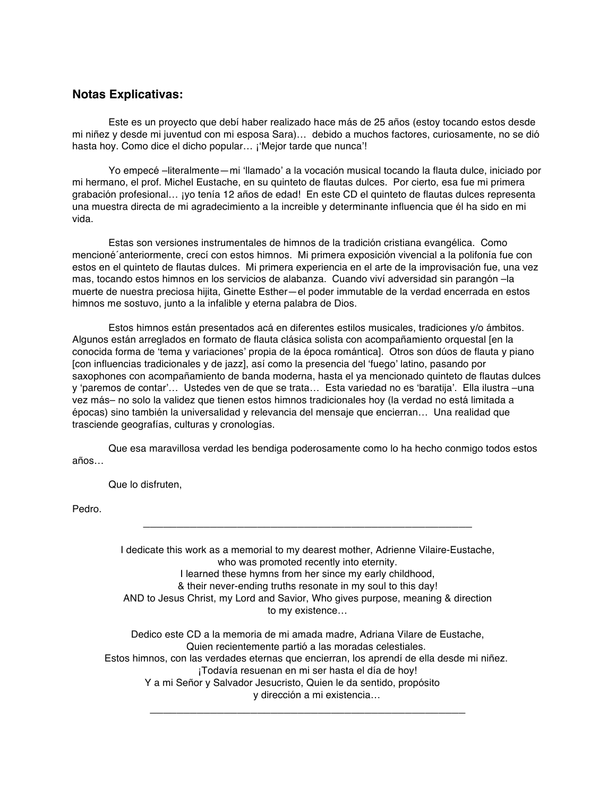#### **Notas Explicativas:**

Este es un proyecto que debí haber realizado hace más de 25 años (estoy tocando estos desde mi niñez y desde mi juventud con mi esposa Sara)… debido a muchos factores, curiosamente, no se dió hasta hoy. Como dice el dicho popular... ¡'Mejor tarde que nunca'!

Yo empecé –literalmente—mi 'llamado' a la vocación musical tocando la flauta dulce, iniciado por mi hermano, el prof. Michel Eustache, en su quinteto de flautas dulces. Por cierto, esa fue mi primera grabación profesional… ¡yo tenía 12 años de edad! En este CD el quinteto de flautas dulces representa una muestra directa de mi agradecimiento a la increible y determinante influencia que él ha sido en mi vida.

Estas son versiones instrumentales de himnos de la tradición cristiana evangélica. Como mencioné´anteriormente, crecí con estos himnos. Mi primera exposición vivencial a la polifonía fue con estos en el quinteto de flautas dulces. Mi primera experiencia en el arte de la improvisación fue, una vez mas, tocando estos himnos en los servicios de alabanza. Cuando viví adversidad sin parangón –la muerte de nuestra preciosa hijita, Ginette Esther—el poder immutable de la verdad encerrada en estos himnos me sostuvo, junto a la infalible y eterna palabra de Dios.

Estos himnos están presentados acá en diferentes estilos musicales, tradiciones y/o ámbitos. Algunos están arreglados en formato de flauta clásica solista con acompañamiento orquestal [en la conocida forma de 'tema y variaciones' propia de la época romántica]. Otros son dúos de flauta y piano [con influencias tradicionales y de jazz], así como la presencia del 'fuego' latino, pasando por saxophones con acompañamiento de banda moderna, hasta el ya mencionado quinteto de flautas dulces y 'paremos de contar'… Ustedes ven de que se trata… Esta variedad no es 'baratija'. Ella ilustra –una vez más– no solo la validez que tienen estos himnos tradicionales hoy (la verdad no está limitada a épocas) sino también la universalidad y relevancia del mensaje que encierran… Una realidad que trasciende geografías, culturas y cronologías.

Que esa maravillosa verdad les bendiga poderosamente como lo ha hecho conmigo todos estos años…

Que lo disfruten,

Pedro.

I dedicate this work as a memorial to my dearest mother, Adrienne Vilaire-Eustache, who was promoted recently into eternity. I learned these hymns from her since my early childhood, & their never-ending truths resonate in my soul to this day! AND to Jesus Christ, my Lord and Savior, Who gives purpose, meaning & direction to my existence…

\_\_\_\_\_\_\_\_\_\_\_\_\_\_\_\_\_\_\_\_\_\_\_\_\_\_\_\_\_\_\_\_\_\_\_\_\_\_\_\_\_\_\_\_\_\_\_\_\_

Dedico este CD a la memoria de mi amada madre, Adriana Vilare de Eustache, Quien recientemente partió a las moradas celestiales. Estos himnos, con las verdades eternas que encierran, los aprendí de ella desde mi niñez. ¡Todavía resuenan en mi ser hasta el día de hoy! Y a mi Señor y Salvador Jesucristo, Quien le da sentido, propósito y dirección a mi existencia…

\_\_\_\_\_\_\_\_\_\_\_\_\_\_\_\_\_\_\_\_\_\_\_\_\_\_\_\_\_\_\_\_\_\_\_\_\_\_\_\_\_\_\_\_\_\_\_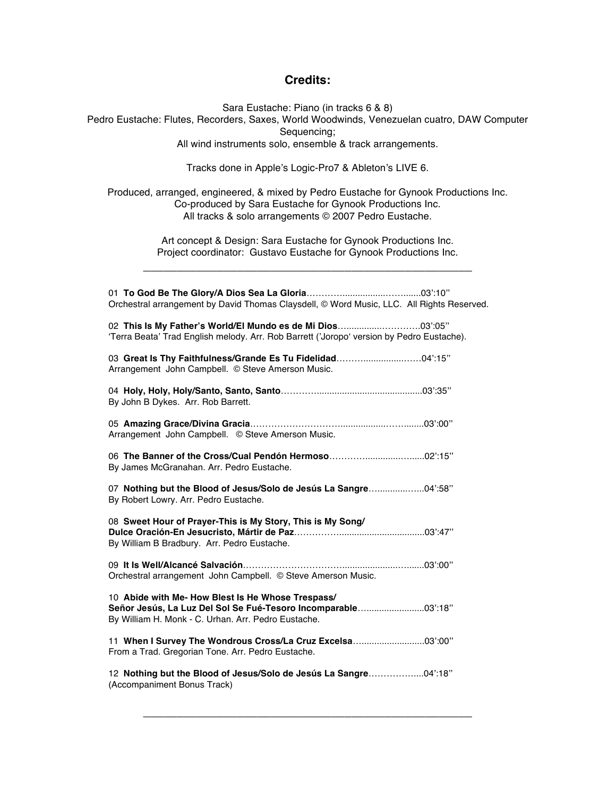## **Credits:**

Sara Eustache: Piano (in tracks 6 & 8) Pedro Eustache: Flutes, Recorders, Saxes, World Woodwinds, Venezuelan cuatro, DAW Computer Sequencing; All wind instruments solo, ensemble & track arrangements.

Tracks done in Apple's Logic-Pro7 & Ableton's LIVE 6.

Produced, arranged, engineered, & mixed by Pedro Eustache for Gynook Productions Inc. Co-produced by Sara Eustache for Gynook Productions Inc. All tracks & solo arrangements © 2007 Pedro Eustache.

> Art concept & Design: Sara Eustache for Gynook Productions Inc. Project coordinator: Gustavo Eustache for Gynook Productions Inc.

\_\_\_\_\_\_\_\_\_\_\_\_\_\_\_\_\_\_\_\_\_\_\_\_\_\_\_\_\_\_\_\_\_\_\_\_\_\_\_\_\_\_\_\_\_\_\_\_\_

| Orchestral arrangement by David Thomas Claysdell, © Word Music, LLC. All Rights Reserved.                                                                                  |  |
|----------------------------------------------------------------------------------------------------------------------------------------------------------------------------|--|
| 02 This Is My Father's World/El Mundo es de Mi Dios03':05"<br>'Terra Beata' Trad English melody. Arr. Rob Barrett ('Joropo' version by Pedro Eustache).                    |  |
| 03 Great Is Thy Faithfulness/Grande Es Tu Fidelidad04':15"<br>Arrangement John Campbell. © Steve Amerson Music.                                                            |  |
| By John B Dykes. Arr. Rob Barrett.                                                                                                                                         |  |
| Arrangement John Campbell. © Steve Amerson Music.                                                                                                                          |  |
| By James McGranahan. Arr. Pedro Eustache.                                                                                                                                  |  |
| 07 Nothing but the Blood of Jesus/Solo de Jesús La Sangre04':58"<br>By Robert Lowry. Arr. Pedro Eustache.                                                                  |  |
| 08 Sweet Hour of Prayer-This is My Story, This is My Song/<br>By William B Bradbury. Arr. Pedro Eustache.                                                                  |  |
| Orchestral arrangement John Campbell. © Steve Amerson Music.                                                                                                               |  |
| 10 Abide with Me- How Blest Is He Whose Trespass/<br>Señor Jesús, La Luz Del Sol Se Fué-Tesoro Incomparable 03':18"<br>By William H. Monk - C. Urhan. Arr. Pedro Eustache. |  |
| 11 When I Survey The Wondrous Cross/La Cruz Excelsa 03':00"<br>From a Trad. Gregorian Tone. Arr. Pedro Eustache.                                                           |  |
| 12 Nothing but the Blood of Jesus/Solo de Jesús La Sangre04':18"<br>(Accompaniment Bonus Track)                                                                            |  |

\_\_\_\_\_\_\_\_\_\_\_\_\_\_\_\_\_\_\_\_\_\_\_\_\_\_\_\_\_\_\_\_\_\_\_\_\_\_\_\_\_\_\_\_\_\_\_\_\_